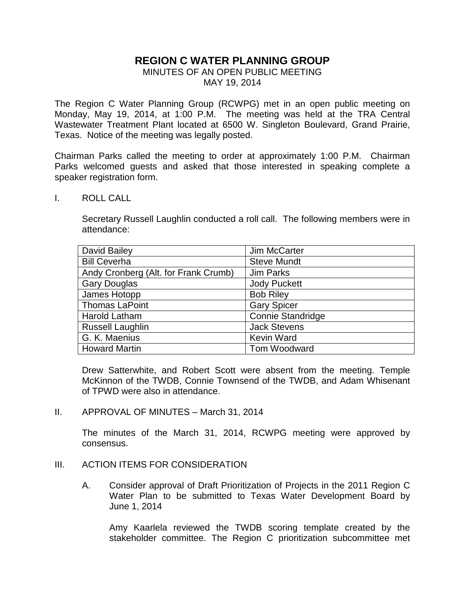## **REGION C WATER PLANNING GROUP**

## MINUTES OF AN OPEN PUBLIC MEETING MAY 19, 2014

The Region C Water Planning Group (RCWPG) met in an open public meeting on Monday, May 19, 2014, at 1:00 P.M. The meeting was held at the TRA Central Wastewater Treatment Plant located at 6500 W. Singleton Boulevard, Grand Prairie, Texas. Notice of the meeting was legally posted.

Chairman Parks called the meeting to order at approximately 1:00 P.M. Chairman Parks welcomed guests and asked that those interested in speaking complete a speaker registration form.

I. ROLL CALL

Secretary Russell Laughlin conducted a roll call. The following members were in attendance:

| David Bailey                         | Jim McCarter             |
|--------------------------------------|--------------------------|
| <b>Bill Ceverha</b>                  | <b>Steve Mundt</b>       |
| Andy Cronberg (Alt. for Frank Crumb) | Jim Parks                |
| <b>Gary Douglas</b>                  | <b>Jody Puckett</b>      |
| James Hotopp                         | <b>Bob Riley</b>         |
| <b>Thomas LaPoint</b>                | <b>Gary Spicer</b>       |
| <b>Harold Latham</b>                 | <b>Connie Standridge</b> |
| <b>Russell Laughlin</b>              | <b>Jack Stevens</b>      |
| G. K. Maenius                        | <b>Kevin Ward</b>        |
| <b>Howard Martin</b>                 | Tom Woodward             |

Drew Satterwhite, and Robert Scott were absent from the meeting. Temple McKinnon of the TWDB, Connie Townsend of the TWDB, and Adam Whisenant of TPWD were also in attendance.

II. APPROVAL OF MINUTES – March 31, 2014

The minutes of the March 31, 2014, RCWPG meeting were approved by consensus.

- III. ACTION ITEMS FOR CONSIDERATION
	- A. Consider approval of Draft Prioritization of Projects in the 2011 Region C Water Plan to be submitted to Texas Water Development Board by June 1, 2014

Amy Kaarlela reviewed the TWDB scoring template created by the stakeholder committee. The Region C prioritization subcommittee met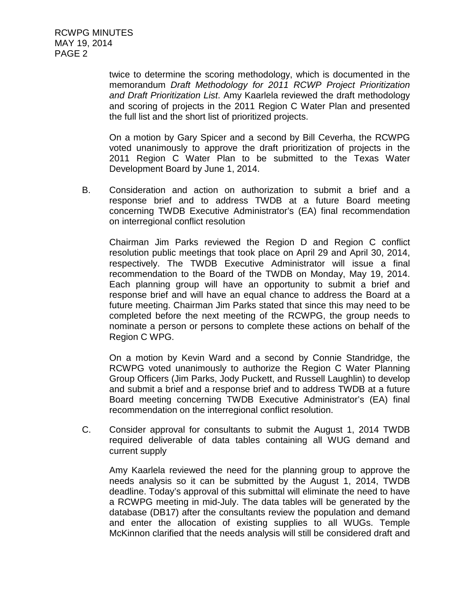twice to determine the scoring methodology, which is documented in the memorandum *Draft Methodology for 2011 RCWP Project Prioritization and Draft Prioritization List*. Amy Kaarlela reviewed the draft methodology and scoring of projects in the 2011 Region C Water Plan and presented the full list and the short list of prioritized projects.

On a motion by Gary Spicer and a second by Bill Ceverha, the RCWPG voted unanimously to approve the draft prioritization of projects in the 2011 Region C Water Plan to be submitted to the Texas Water Development Board by June 1, 2014.

B. Consideration and action on authorization to submit a brief and a response brief and to address TWDB at a future Board meeting concerning TWDB Executive Administrator's (EA) final recommendation on interregional conflict resolution

Chairman Jim Parks reviewed the Region D and Region C conflict resolution public meetings that took place on April 29 and April 30, 2014, respectively. The TWDB Executive Administrator will issue a final recommendation to the Board of the TWDB on Monday, May 19, 2014. Each planning group will have an opportunity to submit a brief and response brief and will have an equal chance to address the Board at a future meeting. Chairman Jim Parks stated that since this may need to be completed before the next meeting of the RCWPG, the group needs to nominate a person or persons to complete these actions on behalf of the Region C WPG.

On a motion by Kevin Ward and a second by Connie Standridge, the RCWPG voted unanimously to authorize the Region C Water Planning Group Officers (Jim Parks, Jody Puckett, and Russell Laughlin) to develop and submit a brief and a response brief and to address TWDB at a future Board meeting concerning TWDB Executive Administrator's (EA) final recommendation on the interregional conflict resolution.

C. Consider approval for consultants to submit the August 1, 2014 TWDB required deliverable of data tables containing all WUG demand and current supply

Amy Kaarlela reviewed the need for the planning group to approve the needs analysis so it can be submitted by the August 1, 2014, TWDB deadline. Today's approval of this submittal will eliminate the need to have a RCWPG meeting in mid-July. The data tables will be generated by the database (DB17) after the consultants review the population and demand and enter the allocation of existing supplies to all WUGs. Temple McKinnon clarified that the needs analysis will still be considered draft and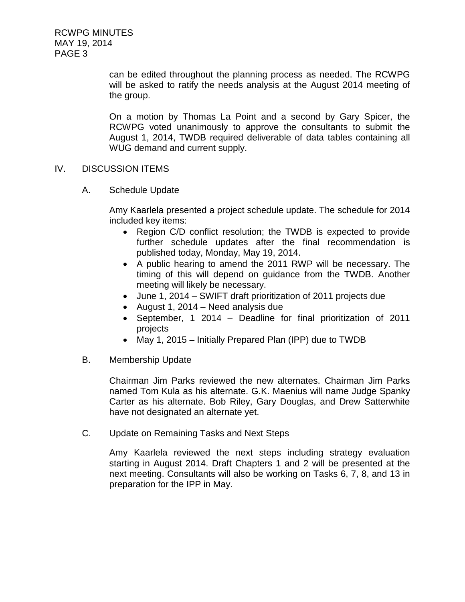RCWPG MINUTES MAY 19, 2014 PAGE 3

> can be edited throughout the planning process as needed. The RCWPG will be asked to ratify the needs analysis at the August 2014 meeting of the group.

> On a motion by Thomas La Point and a second by Gary Spicer, the RCWPG voted unanimously to approve the consultants to submit the August 1, 2014, TWDB required deliverable of data tables containing all WUG demand and current supply.

## IV. DISCUSSION ITEMS

A. Schedule Update

Amy Kaarlela presented a project schedule update. The schedule for 2014 included key items:

- Region C/D conflict resolution; the TWDB is expected to provide further schedule updates after the final recommendation is published today, Monday, May 19, 2014.
- A public hearing to amend the 2011 RWP will be necessary. The timing of this will depend on guidance from the TWDB. Another meeting will likely be necessary.
- June 1, 2014 SWIFT draft prioritization of 2011 projects due
- August 1, 2014 Need analysis due
- September, 1 2014 Deadline for final prioritization of 2011 projects
- May 1, 2015 Initially Prepared Plan (IPP) due to TWDB
- B. Membership Update

Chairman Jim Parks reviewed the new alternates. Chairman Jim Parks named Tom Kula as his alternate. G.K. Maenius will name Judge Spanky Carter as his alternate. Bob Riley, Gary Douglas, and Drew Satterwhite have not designated an alternate yet.

C. Update on Remaining Tasks and Next Steps

Amy Kaarlela reviewed the next steps including strategy evaluation starting in August 2014. Draft Chapters 1 and 2 will be presented at the next meeting. Consultants will also be working on Tasks 6, 7, 8, and 13 in preparation for the IPP in May.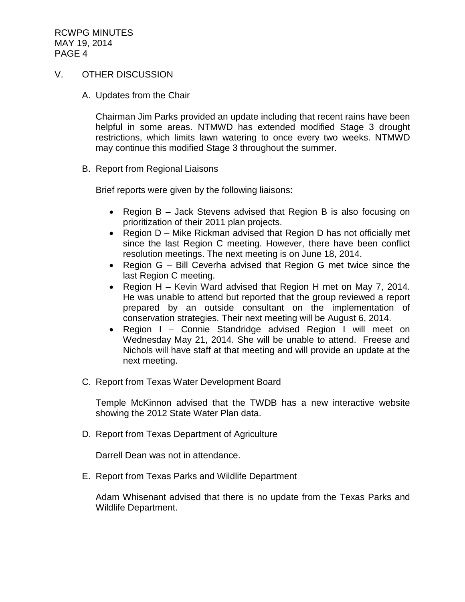RCWPG MINUTES MAY 19, 2014 PAGE 4

## V. OTHER DISCUSSION

A. Updates from the Chair

Chairman Jim Parks provided an update including that recent rains have been helpful in some areas. NTMWD has extended modified Stage 3 drought restrictions, which limits lawn watering to once every two weeks. NTMWD may continue this modified Stage 3 throughout the summer.

B. Report from Regional Liaisons

Brief reports were given by the following liaisons:

- Region B Jack Stevens advised that Region B is also focusing on prioritization of their 2011 plan projects.
- Region D Mike Rickman advised that Region D has not officially met since the last Region C meeting. However, there have been conflict resolution meetings. The next meeting is on June 18, 2014.
- Region G Bill Ceverha advised that Region G met twice since the last Region C meeting.
- Region H Kevin Ward advised that Region H met on May 7, 2014. He was unable to attend but reported that the group reviewed a report prepared by an outside consultant on the implementation of conservation strategies. Their next meeting will be August 6, 2014.
- Region I Connie Standridge advised Region I will meet on Wednesday May 21, 2014. She will be unable to attend. Freese and Nichols will have staff at that meeting and will provide an update at the next meeting.
- C. Report from Texas Water Development Board

Temple McKinnon advised that the TWDB has a new interactive website showing the 2012 State Water Plan data.

D. Report from Texas Department of Agriculture

Darrell Dean was not in attendance.

E. Report from Texas Parks and Wildlife Department

Adam Whisenant advised that there is no update from the Texas Parks and Wildlife Department.